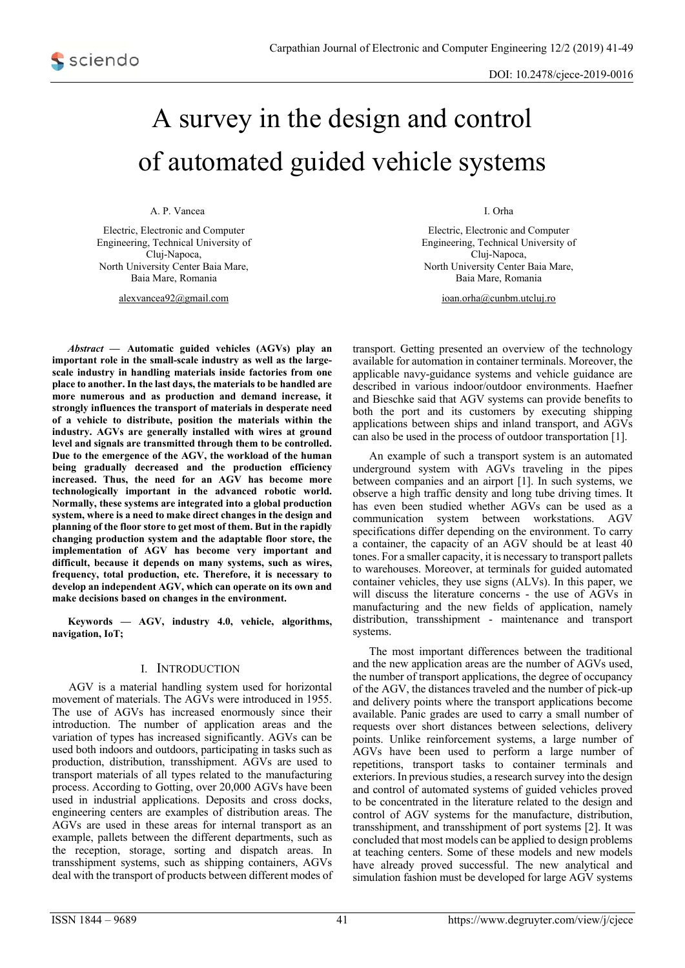# A survey in the design and control of automated guided vehicle systems

A. P. Vancea

Electric, Electronic and Computer Engineering, Technical University of Cluj-Napoca, North University Center Baia Mare, Baia Mare, Romania

alexvancea92@gmail.com

*Abstract* **— Automatic guided vehicles (AGVs) play an important role in the small-scale industry as well as the largescale industry in handling materials inside factories from one place to another. In the last days, the materials to be handled are more numerous and as production and demand increase, it strongly influences the transport of materials in desperate need of a vehicle to distribute, position the materials within the industry. AGVs are generally installed with wires at ground level and signals are transmitted through them to be controlled. Due to the emergence of the AGV, the workload of the human being gradually decreased and the production efficiency increased. Thus, the need for an AGV has become more technologically important in the advanced robotic world. Normally, these systems are integrated into a global production system, where is a need to make direct changes in the design and planning of the floor store to get most of them. But in the rapidly changing production system and the adaptable floor store, the implementation of AGV has become very important and difficult, because it depends on many systems, such as wires, frequency, total production, etc. Therefore, it is necessary to develop an independent AGV, which can operate on its own and make decisions based on changes in the environment.** 

**Keywords — AGV, industry 4.0, vehicle, algorithms, navigation, IoT;** 

#### I. INTRODUCTION

 AGV is a material handling system used for horizontal movement of materials. The AGVs were introduced in 1955. The use of AGVs has increased enormously since their introduction. The number of application areas and the variation of types has increased significantly. AGVs can be used both indoors and outdoors, participating in tasks such as production, distribution, transshipment. AGVs are used to transport materials of all types related to the manufacturing process. According to Gotting, over 20,000 AGVs have been used in industrial applications. Deposits and cross docks, engineering centers are examples of distribution areas. The AGVs are used in these areas for internal transport as an example, pallets between the different departments, such as the reception, storage, sorting and dispatch areas. In transshipment systems, such as shipping containers, AGVs deal with the transport of products between different modes of I. Orha

Electric, Electronic and Computer Engineering, Technical University of Cluj-Napoca, North University Center Baia Mare, Baia Mare, Romania

ioan.orha@cunbm.utcluj.ro

transport. Getting presented an overview of the technology available for automation in container terminals. Moreover, the applicable navy-guidance systems and vehicle guidance are described in various indoor/outdoor environments. Haefner and Bieschke said that AGV systems can provide benefits to both the port and its customers by executing shipping applications between ships and inland transport, and AGVs can also be used in the process of outdoor transportation [1].

An example of such a transport system is an automated underground system with AGVs traveling in the pipes between companies and an airport [1]. In such systems, we observe a high traffic density and long tube driving times. It has even been studied whether AGVs can be used as a communication system between workstations. AGV specifications differ depending on the environment. To carry a container, the capacity of an AGV should be at least 40 tones. For a smaller capacity, it is necessary to transport pallets to warehouses. Moreover, at terminals for guided automated container vehicles, they use signs (ALVs). In this paper, we will discuss the literature concerns - the use of AGVs in manufacturing and the new fields of application, namely distribution, transshipment - maintenance and transport systems.

The most important differences between the traditional and the new application areas are the number of AGVs used, the number of transport applications, the degree of occupancy of the AGV, the distances traveled and the number of pick-up and delivery points where the transport applications become available. Panic grades are used to carry a small number of requests over short distances between selections, delivery points. Unlike reinforcement systems, a large number of AGVs have been used to perform a large number of repetitions, transport tasks to container terminals and exteriors. In previous studies, a research survey into the design and control of automated systems of guided vehicles proved to be concentrated in the literature related to the design and control of AGV systems for the manufacture, distribution, transshipment, and transshipment of port systems [2]. It was concluded that most models can be applied to design problems at teaching centers. Some of these models and new models have already proved successful. The new analytical and simulation fashion must be developed for large AGV systems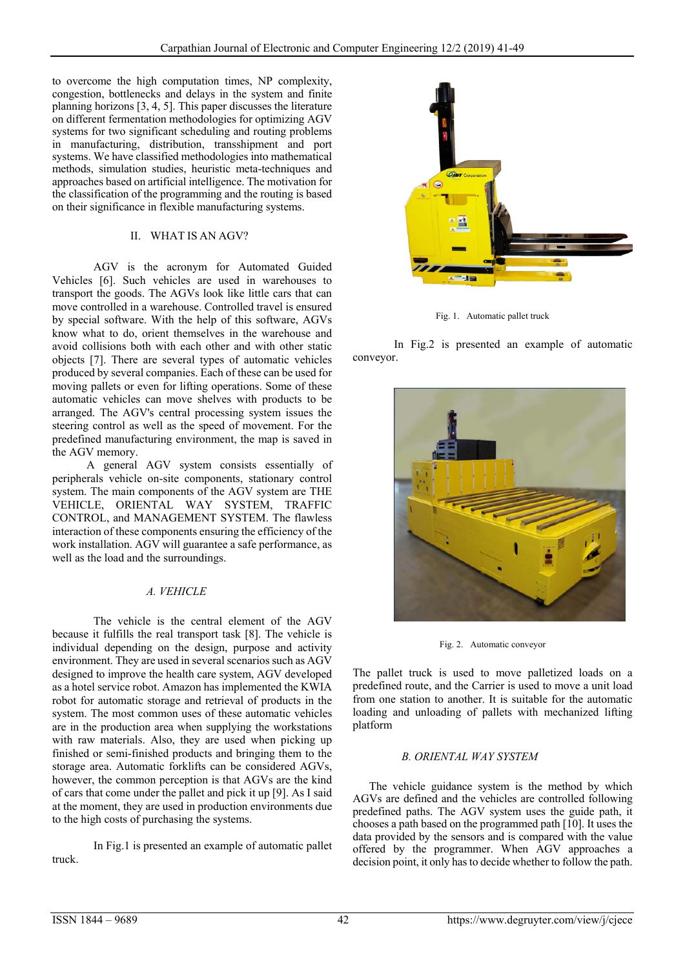to overcome the high computation times, NP complexity, congestion, bottlenecks and delays in the system and finite planning horizons [3, 4, 5]. This paper discusses the literature on different fermentation methodologies for optimizing AGV systems for two significant scheduling and routing problems in manufacturing, distribution, transshipment and port systems. We have classified methodologies into mathematical methods, simulation studies, heuristic meta-techniques and approaches based on artificial intelligence. The motivation for the classification of the programming and the routing is based on their significance in flexible manufacturing systems.

## II. WHAT IS AN AGV?

AGV is the acronym for Automated Guided Vehicles [6]. Such vehicles are used in warehouses to transport the goods. The AGVs look like little cars that can move controlled in a warehouse. Controlled travel is ensured by special software. With the help of this software, AGVs know what to do, orient themselves in the warehouse and avoid collisions both with each other and with other static objects [7]. There are several types of automatic vehicles produced by several companies. Each of these can be used for moving pallets or even for lifting operations. Some of these automatic vehicles can move shelves with products to be arranged. The AGV's central processing system issues the steering control as well as the speed of movement. For the predefined manufacturing environment, the map is saved in the AGV memory.

 A general AGV system consists essentially of peripherals vehicle on-site components, stationary control system. The main components of the AGV system are THE VEHICLE, ORIENTAL WAY SYSTEM, TRAFFIC CONTROL, and MANAGEMENT SYSTEM. The flawless interaction of these components ensuring the efficiency of the work installation. AGV will guarantee a safe performance, as well as the load and the surroundings.

# *A. VEHICLE*

The vehicle is the central element of the AGV because it fulfills the real transport task [8]. The vehicle is individual depending on the design, purpose and activity environment. They are used in several scenarios such as AGV designed to improve the health care system, AGV developed as a hotel service robot. Amazon has implemented the KWIA robot for automatic storage and retrieval of products in the system. The most common uses of these automatic vehicles are in the production area when supplying the workstations with raw materials. Also, they are used when picking up finished or semi-finished products and bringing them to the storage area. Automatic forklifts can be considered AGVs, however, the common perception is that AGVs are the kind of cars that come under the pallet and pick it up [9]. As I said at the moment, they are used in production environments due to the high costs of purchasing the systems.

In Fig.1 is presented an example of automatic pallet truck.



Fig. 1. Automatic pallet truck

 In Fig.2 is presented an example of automatic conveyor.



Fig. 2. Automatic conveyor

The pallet truck is used to move palletized loads on a predefined route, and the Carrier is used to move a unit load from one station to another. It is suitable for the automatic loading and unloading of pallets with mechanized lifting platform

## *B. ORIENTAL WAY SYSTEM*

The vehicle guidance system is the method by which AGVs are defined and the vehicles are controlled following predefined paths. The AGV system uses the guide path, it chooses a path based on the programmed path [10]. It uses the data provided by the sensors and is compared with the value offered by the programmer. When AGV approaches a decision point, it only has to decide whether to follow the path.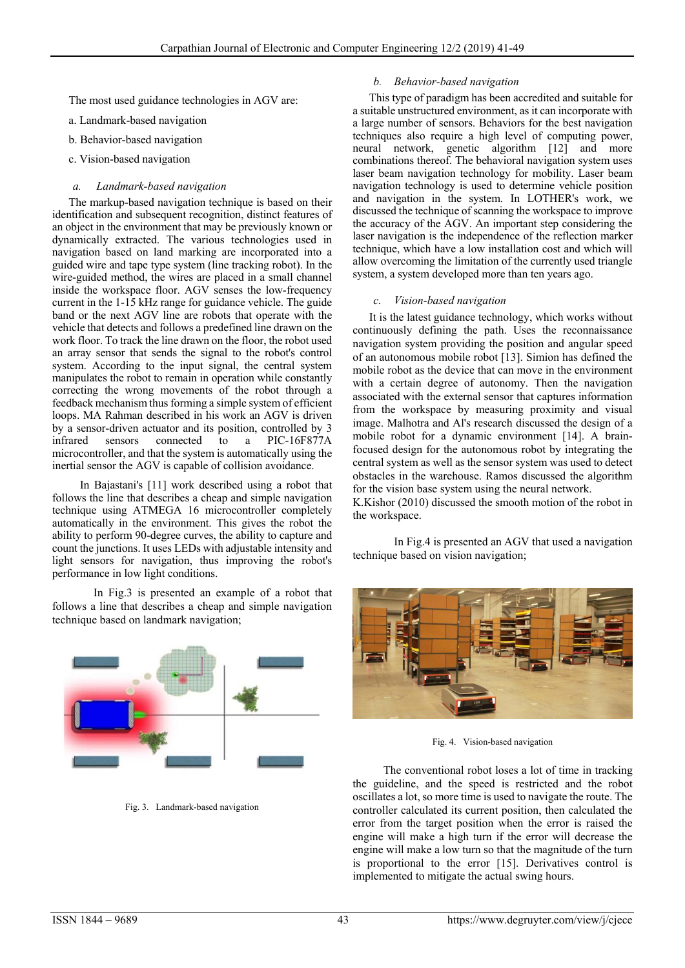The most used guidance technologies in AGV are:

a. Landmark-based navigation

- b. Behavior-based navigation
- c. Vision-based navigation

#### *a. Landmark-based navigation*

The markup-based navigation technique is based on their identification and subsequent recognition, distinct features of an object in the environment that may be previously known or dynamically extracted. The various technologies used in navigation based on land marking are incorporated into a guided wire and tape type system (line tracking robot). In the wire-guided method, the wires are placed in a small channel inside the workspace floor. AGV senses the low-frequency current in the 1-15 kHz range for guidance vehicle. The guide band or the next AGV line are robots that operate with the vehicle that detects and follows a predefined line drawn on the work floor. To track the line drawn on the floor, the robot used an array sensor that sends the signal to the robot's control system. According to the input signal, the central system manipulates the robot to remain in operation while constantly correcting the wrong movements of the robot through a feedback mechanism thus forming a simple system of efficient loops. MA Rahman described in his work an AGV is driven by a sensor-driven actuator and its position, controlled by 3 infrared sensors connected to a PIC-16F877A microcontroller, and that the system is automatically using the inertial sensor the AGV is capable of collision avoidance.

 In Bajastani's [11] work described using a robot that follows the line that describes a cheap and simple navigation technique using ATMEGA 16 microcontroller completely automatically in the environment. This gives the robot the ability to perform 90-degree curves, the ability to capture and count the junctions. It uses LEDs with adjustable intensity and light sensors for navigation, thus improving the robot's performance in low light conditions.

In Fig.3 is presented an example of a robot that follows a line that describes a cheap and simple navigation technique based on landmark navigation;



Fig. 3. Landmark-based navigation

#### *b. Behavior-based navigation*

 This type of paradigm has been accredited and suitable for a suitable unstructured environment, as it can incorporate with a large number of sensors. Behaviors for the best navigation techniques also require a high level of computing power, neural network, genetic algorithm [12] and more combinations thereof. The behavioral navigation system uses laser beam navigation technology for mobility. Laser beam navigation technology is used to determine vehicle position and navigation in the system. In LOTHER's work, we discussed the technique of scanning the workspace to improve the accuracy of the AGV. An important step considering the laser navigation is the independence of the reflection marker technique, which have a low installation cost and which will allow overcoming the limitation of the currently used triangle system, a system developed more than ten years ago.

#### *c. Vision-based navigation*

It is the latest guidance technology, which works without continuously defining the path. Uses the reconnaissance navigation system providing the position and angular speed of an autonomous mobile robot [13]. Simion has defined the mobile robot as the device that can move in the environment with a certain degree of autonomy. Then the navigation associated with the external sensor that captures information from the workspace by measuring proximity and visual image. Malhotra and Al's research discussed the design of a mobile robot for a dynamic environment [14]. A brainfocused design for the autonomous robot by integrating the central system as well as the sensor system was used to detect obstacles in the warehouse. Ramos discussed the algorithm for the vision base system using the neural network.

K.Kishor (2010) discussed the smooth motion of the robot in the workspace.

In Fig.4 is presented an AGV that used a navigation technique based on vision navigation;



Fig. 4. Vision-based navigation

 The conventional robot loses a lot of time in tracking the guideline, and the speed is restricted and the robot oscillates a lot, so more time is used to navigate the route. The controller calculated its current position, then calculated the error from the target position when the error is raised the engine will make a high turn if the error will decrease the engine will make a low turn so that the magnitude of the turn is proportional to the error [15]. Derivatives control is implemented to mitigate the actual swing hours.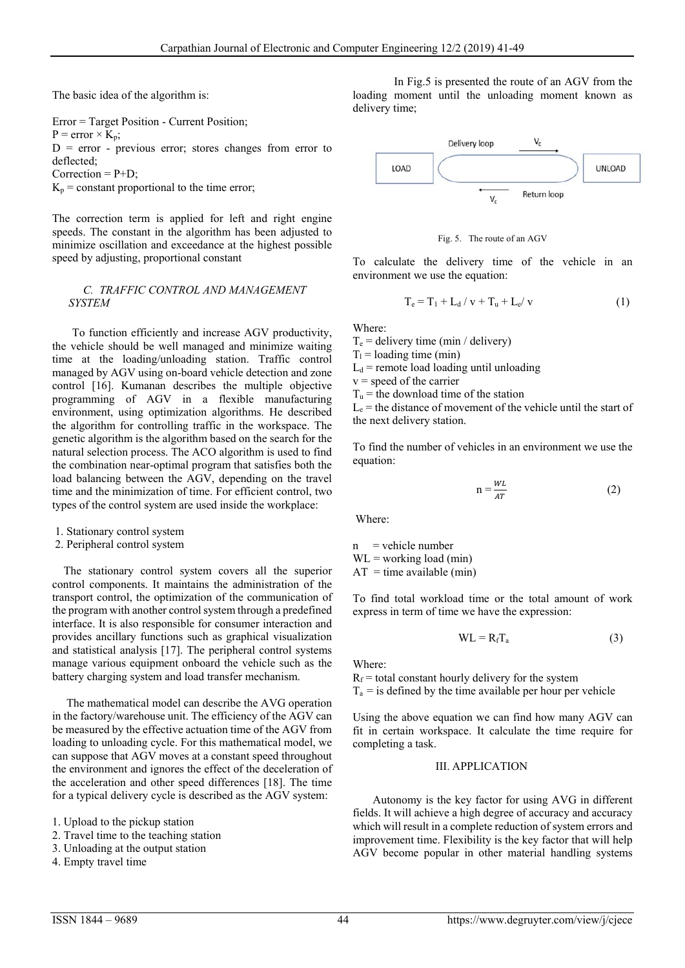The basic idea of the algorithm is:

Error = Target Position - Current Position;  $P = error \times K_n$ ;  $D = error - previous error; stores changes from error to$ deflected; Correction  $= P + D$ ;  $K_p$  = constant proportional to the time error;

The correction term is applied for left and right engine speeds. The constant in the algorithm has been adjusted to minimize oscillation and exceedance at the highest possible speed by adjusting, proportional constant

## *C. TRAFFIC CONTROL AND MANAGEMENT SYSTEM*

 To function efficiently and increase AGV productivity, the vehicle should be well managed and minimize waiting time at the loading/unloading station. Traffic control managed by AGV using on-board vehicle detection and zone control [16]. Kumanan describes the multiple objective programming of AGV in a flexible manufacturing environment, using optimization algorithms. He described the algorithm for controlling traffic in the workspace. The genetic algorithm is the algorithm based on the search for the natural selection process. The ACO algorithm is used to find the combination near-optimal program that satisfies both the load balancing between the AGV, depending on the travel time and the minimization of time. For efficient control, two types of the control system are used inside the workplace:

- 1. Stationary control system
- 2. Peripheral control system

 The stationary control system covers all the superior control components. It maintains the administration of the transport control, the optimization of the communication of the program with another control system through a predefined interface. It is also responsible for consumer interaction and provides ancillary functions such as graphical visualization and statistical analysis [17]. The peripheral control systems manage various equipment onboard the vehicle such as the battery charging system and load transfer mechanism.

 The mathematical model can describe the AVG operation in the factory/warehouse unit. The efficiency of the AGV can be measured by the effective actuation time of the AGV from loading to unloading cycle. For this mathematical model, we can suppose that AGV moves at a constant speed throughout the environment and ignores the effect of the deceleration of the acceleration and other speed differences [18]. The time for a typical delivery cycle is described as the AGV system:

- 1. Upload to the pickup station
- 2. Travel time to the teaching station
- 3. Unloading at the output station
- 4. Empty travel time

In Fig.5 is presented the route of an AGV from the loading moment until the unloading moment known as delivery time;





To calculate the delivery time of the vehicle in an environment we use the equation:

$$
T_e = T_1 + L_d / v + T_u + L_e / v \tag{1}
$$

Where:

 $T_e$  = delivery time (min / delivery)

 $T_1$  = loading time (min)

 $L_d$  = remote load loading until unloading

 $v =$  speed of the carrier

 $T_u$  = the download time of the station

 $L<sub>e</sub>$  = the distance of movement of the vehicle until the start of the next delivery station.

To find the number of vehicles in an environment we use the equation:

$$
n = \frac{WL}{AT}
$$
 (2)

Where:

 $n$  = vehicle number  $WL = working load (min)$ 

 $AT = time available (min)$ 

To find total workload time or the total amount of work express in term of time we have the expression:

$$
WL = R_f T_a \tag{3}
$$

Where:

 $R_f$  = total constant hourly delivery for the system  $T_a$  = is defined by the time available per hour per vehicle

Using the above equation we can find how many AGV can fit in certain workspace. It calculate the time require for completing a task.

#### III. APPLICATION

 Autonomy is the key factor for using AVG in different fields. It will achieve a high degree of accuracy and accuracy which will result in a complete reduction of system errors and improvement time. Flexibility is the key factor that will help AGV become popular in other material handling systems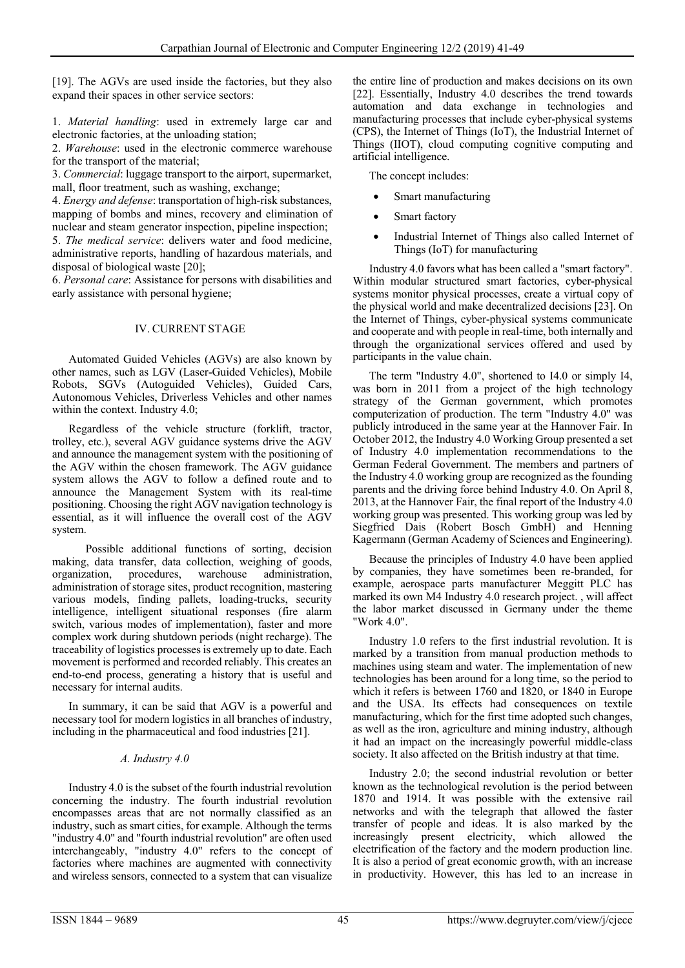[19]. The AGVs are used inside the factories, but they also expand their spaces in other service sectors:

1. *Material handling*: used in extremely large car and electronic factories, at the unloading station;

2. *Warehouse*: used in the electronic commerce warehouse for the transport of the material;

3. *Commercial*: luggage transport to the airport, supermarket, mall, floor treatment, such as washing, exchange;

4. *Energy and defense*: transportation of high-risk substances, mapping of bombs and mines, recovery and elimination of nuclear and steam generator inspection, pipeline inspection;

5. *The medical service*: delivers water and food medicine, administrative reports, handling of hazardous materials, and disposal of biological waste [20];

6. *Personal care*: Assistance for persons with disabilities and early assistance with personal hygiene;

## IV. CURRENT STAGE

Automated Guided Vehicles (AGVs) are also known by other names, such as LGV (Laser-Guided Vehicles), Mobile Robots, SGVs (Autoguided Vehicles), Guided Cars, Autonomous Vehicles, Driverless Vehicles and other names within the context. Industry 4.0;

Regardless of the vehicle structure (forklift, tractor, trolley, etc.), several AGV guidance systems drive the AGV and announce the management system with the positioning of the AGV within the chosen framework. The AGV guidance system allows the AGV to follow a defined route and to announce the Management System with its real-time positioning. Choosing the right AGV navigation technology is essential, as it will influence the overall cost of the AGV system.

 Possible additional functions of sorting, decision making, data transfer, data collection, weighing of goods, organization, procedures, warehouse administration. organization, procedures, warehouse administration, administration of storage sites, product recognition, mastering various models, finding pallets, loading-trucks, security intelligence, intelligent situational responses (fire alarm switch, various modes of implementation), faster and more complex work during shutdown periods (night recharge). The traceability of logistics processes is extremely up to date. Each movement is performed and recorded reliably. This creates an end-to-end process, generating a history that is useful and necessary for internal audits.

In summary, it can be said that AGV is a powerful and necessary tool for modern logistics in all branches of industry, including in the pharmaceutical and food industries [21].

# *A. Industry 4.0*

Industry 4.0 is the subset of the fourth industrial revolution concerning the industry. The fourth industrial revolution encompasses areas that are not normally classified as an industry, such as smart cities, for example. Although the terms "industry 4.0" and "fourth industrial revolution" are often used interchangeably, "industry 4.0" refers to the concept of factories where machines are augmented with connectivity and wireless sensors, connected to a system that can visualize

the entire line of production and makes decisions on its own [22]. Essentially, Industry 4.0 describes the trend towards automation and data exchange in technologies and manufacturing processes that include cyber-physical systems (CPS), the Internet of Things (IoT), the Industrial Internet of Things (IIOT), cloud computing cognitive computing and artificial intelligence.

The concept includes:

- Smart manufacturing
- Smart factory
- Industrial Internet of Things also called Internet of Things (IoT) for manufacturing

Industry 4.0 favors what has been called a "smart factory". Within modular structured smart factories, cyber-physical systems monitor physical processes, create a virtual copy of the physical world and make decentralized decisions [23]. On the Internet of Things, cyber-physical systems communicate and cooperate and with people in real-time, both internally and through the organizational services offered and used by participants in the value chain.

The term "Industry 4.0", shortened to I4.0 or simply I4, was born in 2011 from a project of the high technology strategy of the German government, which promotes computerization of production. The term "Industry 4.0" was publicly introduced in the same year at the Hannover Fair. In October 2012, the Industry 4.0 Working Group presented a set of Industry 4.0 implementation recommendations to the German Federal Government. The members and partners of the Industry 4.0 working group are recognized as the founding parents and the driving force behind Industry 4.0. On April 8, 2013, at the Hannover Fair, the final report of the Industry 4.0 working group was presented. This working group was led by Siegfried Dais (Robert Bosch GmbH) and Henning Kagermann (German Academy of Sciences and Engineering).

Because the principles of Industry 4.0 have been applied by companies, they have sometimes been re-branded, for example, aerospace parts manufacturer Meggitt PLC has marked its own M4 Industry 4.0 research project. , will affect the labor market discussed in Germany under the theme "Work 4.0".

Industry 1.0 refers to the first industrial revolution. It is marked by a transition from manual production methods to machines using steam and water. The implementation of new technologies has been around for a long time, so the period to which it refers is between 1760 and 1820, or 1840 in Europe and the USA. Its effects had consequences on textile manufacturing, which for the first time adopted such changes, as well as the iron, agriculture and mining industry, although it had an impact on the increasingly powerful middle-class society. It also affected on the British industry at that time.

Industry 2.0; the second industrial revolution or better known as the technological revolution is the period between 1870 and 1914. It was possible with the extensive rail networks and with the telegraph that allowed the faster transfer of people and ideas. It is also marked by the increasingly present electricity, which allowed the electrification of the factory and the modern production line. It is also a period of great economic growth, with an increase in productivity. However, this has led to an increase in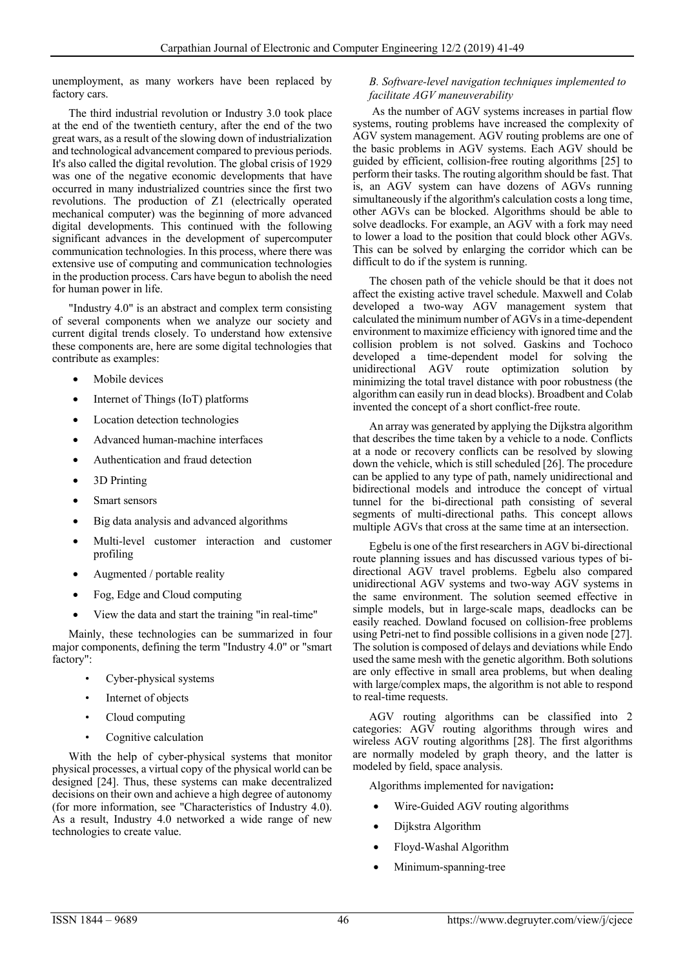unemployment, as many workers have been replaced by factory cars.

The third industrial revolution or Industry 3.0 took place at the end of the twentieth century, after the end of the two great wars, as a result of the slowing down of industrialization and technological advancement compared to previous periods. It's also called the digital revolution. The global crisis of 1929 was one of the negative economic developments that have occurred in many industrialized countries since the first two revolutions. The production of Z1 (electrically operated mechanical computer) was the beginning of more advanced digital developments. This continued with the following significant advances in the development of supercomputer communication technologies. In this process, where there was extensive use of computing and communication technologies in the production process. Cars have begun to abolish the need for human power in life.

"Industry 4.0" is an abstract and complex term consisting of several components when we analyze our society and current digital trends closely. To understand how extensive these components are, here are some digital technologies that contribute as examples:

- Mobile devices
- Internet of Things (IoT) platforms
- Location detection technologies
- Advanced human-machine interfaces
- Authentication and fraud detection
- 3D Printing
- Smart sensors
- Big data analysis and advanced algorithms
- Multi-level customer interaction and customer profiling
- Augmented / portable reality
- Fog, Edge and Cloud computing
- View the data and start the training "in real-time"

Mainly, these technologies can be summarized in four major components, defining the term "Industry 4.0" or "smart factory":

- Cyber-physical systems
- Internet of objects
- Cloud computing
- Cognitive calculation

 With the help of cyber-physical systems that monitor physical processes, a virtual copy of the physical world can be designed [24]. Thus, these systems can make decentralized decisions on their own and achieve a high degree of autonomy (for more information, see "Characteristics of Industry 4.0). As a result, Industry 4.0 networked a wide range of new technologies to create value.

## *B. Software-level navigation techniques implemented to facilitate AGV maneuverability*

 As the number of AGV systems increases in partial flow systems, routing problems have increased the complexity of AGV system management. AGV routing problems are one of the basic problems in AGV systems. Each AGV should be guided by efficient, collision-free routing algorithms [25] to perform their tasks. The routing algorithm should be fast. That is, an AGV system can have dozens of AGVs running simultaneously if the algorithm's calculation costs a long time, other AGVs can be blocked. Algorithms should be able to solve deadlocks. For example, an AGV with a fork may need to lower a load to the position that could block other AGVs. This can be solved by enlarging the corridor which can be difficult to do if the system is running.

 The chosen path of the vehicle should be that it does not affect the existing active travel schedule. Maxwell and Colab developed a two-way AGV management system that calculated the minimum number of AGVs in a time-dependent environment to maximize efficiency with ignored time and the collision problem is not solved. Gaskins and Tochoco developed a time-dependent model for solving the unidirectional AGV route optimization solution by minimizing the total travel distance with poor robustness (the algorithm can easily run in dead blocks). Broadbent and Colab invented the concept of a short conflict-free route.

An array was generated by applying the Dijkstra algorithm that describes the time taken by a vehicle to a node. Conflicts at a node or recovery conflicts can be resolved by slowing down the vehicle, which is still scheduled [26]. The procedure can be applied to any type of path, namely unidirectional and bidirectional models and introduce the concept of virtual tunnel for the bi-directional path consisting of several segments of multi-directional paths. This concept allows multiple AGVs that cross at the same time at an intersection.

Egbelu is one of the first researchers in AGV bi-directional route planning issues and has discussed various types of bidirectional AGV travel problems. Egbelu also compared unidirectional AGV systems and two-way AGV systems in the same environment. The solution seemed effective in simple models, but in large-scale maps, deadlocks can be easily reached. Dowland focused on collision-free problems using Petri-net to find possible collisions in a given node [27]. The solution is composed of delays and deviations while Endo used the same mesh with the genetic algorithm. Both solutions are only effective in small area problems, but when dealing with large/complex maps, the algorithm is not able to respond to real-time requests.

AGV routing algorithms can be classified into 2 categories: AGV routing algorithms through wires and wireless AGV routing algorithms [28]. The first algorithms are normally modeled by graph theory, and the latter is modeled by field, space analysis.

Algorithms implemented for navigation**:** 

- Wire-Guided AGV routing algorithms
- Dijkstra Algorithm
- Floyd-Washal Algorithm
- Minimum-spanning-tree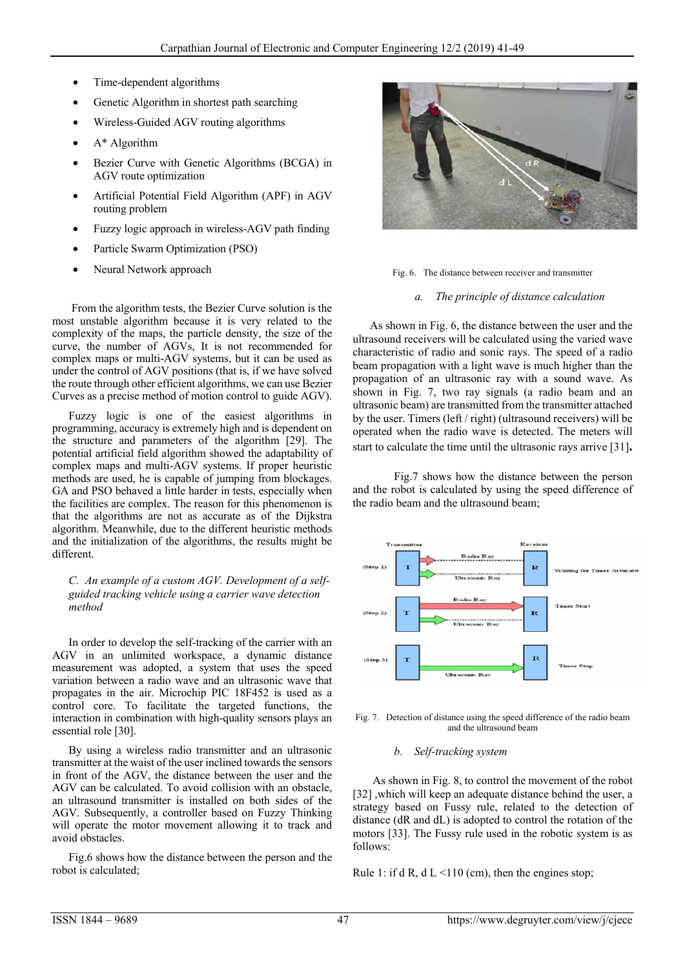- Time-dependent algorithms
- Genetic Algorithm in shortest path searching
- Wireless-Guided AGV routing algorithms
- A\* Algorithm
- Bezier Curve with Genetic Algorithms (BCGA) in AGV route optimization
- Artificial Potential Field Algorithm (APF) in AGV routing problem
- Fuzzy logic approach in wireless-AGV path finding
- Particle Swarm Optimization (PSO)
- Neural Network approach

 From the algorithm tests, the Bezier Curve solution is the most unstable algorithm because it is very related to the complexity of the maps, the particle density, the size of the curve, the number of AGVs, It is not recommended for complex maps or multi-AGV systems, but it can be used as under the control of AGV positions (that is, if we have solved the route through other efficient algorithms, we can use Bezier Curves as a precise method of motion control to guide AGV).

Fuzzy logic is one of the easiest algorithms in programming, accuracy is extremely high and is dependent on the structure and parameters of the algorithm [29]. The potential artificial field algorithm showed the adaptability of complex maps and multi-AGV systems. If proper heuristic methods are used, he is capable of jumping from blockages. GA and PSO behaved a little harder in tests, especially when the facilities are complex. The reason for this phenomenon is that the algorithms are not as accurate as of the Dijkstra algorithm. Meanwhile, due to the different heuristic methods and the initialization of the algorithms, the results might be different.

*C. An example of a custom AGV. Development of a selfguided tracking vehicle using a carrier wave detection method* 

 In order to develop the self-tracking of the carrier with an AGV in an unlimited workspace, a dynamic distance measurement was adopted, a system that uses the speed variation between a radio wave and an ultrasonic wave that propagates in the air. Microchip PIC 18F452 is used as a control core. To facilitate the targeted functions, the interaction in combination with high-quality sensors plays an essential role [30].

 By using a wireless radio transmitter and an ultrasonic transmitter at the waist of the user inclined towards the sensors in front of the AGV, the distance between the user and the AGV can be calculated. To avoid collision with an obstacle, an ultrasound transmitter is installed on both sides of the AGV. Subsequently, a controller based on Fuzzy Thinking will operate the motor movement allowing it to track and avoid obstacles.

 Fig.6 shows how the distance between the person and the robot is calculated;



Fig. 6. The distance between receiver and transmitter

## *a. The principle of distance calculation*

 As shown in Fig. 6, the distance between the user and the ultrasound receivers will be calculated using the varied wave characteristic of radio and sonic rays. The speed of a radio beam propagation with a light wave is much higher than the propagation of an ultrasonic ray with a sound wave. As shown in Fig. 7, two ray signals (a radio beam and an ultrasonic beam) are transmitted from the transmitter attached by the user. Timers (left / right) (ultrasound receivers) will be operated when the radio wave is detected. The meters will start to calculate the time until the ultrasonic rays arrive [31]**.** 

Fig.7 shows how the distance between the person and the robot is calculated by using the speed difference of the radio beam and the ultrasound beam;



Fig. 7. Detection of distance using the speed difference of the radio beam and the ultrasound beam

#### *b. Self-tracking system*

 As shown in Fig. 8, to control the movement of the robot [32], which will keep an adequate distance behind the user, a strategy based on Fussy rule, related to the detection of distance (dR and dL) is adopted to control the rotation of the motors [33]. The Fussy rule used in the robotic system is as follows:

Rule 1: if d R, d  $L < 110$  (cm), then the engines stop;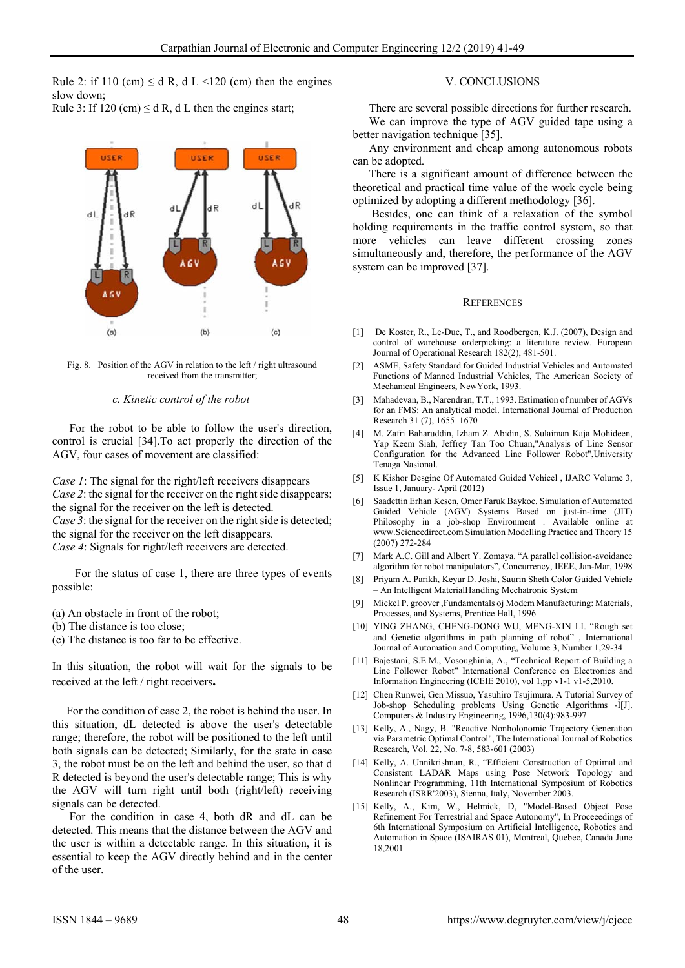Rule 2: if 110 (cm)  $\leq$  d R, d L  $\leq$  120 (cm) then the engines slow down; Rule 3: If 120 (cm)  $\leq d$  R, d L then the engines start;



Fig. 8. Position of the AGV in relation to the left / right ultrasound received from the transmitter;

#### *c. Kinetic control of the robot*

 For the robot to be able to follow the user's direction, control is crucial [34].To act properly the direction of the AGV, four cases of movement are classified:

*Case 1*: The signal for the right/left receivers disappears *Case 2*: the signal for the receiver on the right side disappears; the signal for the receiver on the left is detected. *Case 3*: the signal for the receiver on the right side is detected; the signal for the receiver on the left disappears. *Case 4*: Signals for right/left receivers are detected.

 For the status of case 1, there are three types of events possible:

(a) An obstacle in front of the robot;

- (b) The distance is too close;
- (c) The distance is too far to be effective.

In this situation, the robot will wait for the signals to be received at the left / right receivers**.** 

 For the condition of case 2, the robot is behind the user. In this situation, dL detected is above the user's detectable range; therefore, the robot will be positioned to the left until both signals can be detected; Similarly, for the state in case 3, the robot must be on the left and behind the user, so that d R detected is beyond the user's detectable range; This is why the AGV will turn right until both (right/left) receiving signals can be detected.

 For the condition in case 4, both dR and dL can be detected. This means that the distance between the AGV and the user is within a detectable range. In this situation, it is essential to keep the AGV directly behind and in the center of the user.

### V. CONCLUSIONS

There are several possible directions for further research. We can improve the type of AGV guided tape using a better navigation technique [35].

Any environment and cheap among autonomous robots can be adopted.

There is a significant amount of difference between the theoretical and practical time value of the work cycle being optimized by adopting a different methodology [36].

 Besides, one can think of a relaxation of the symbol holding requirements in the traffic control system, so that more vehicles can leave different crossing zones simultaneously and, therefore, the performance of the AGV system can be improved [37].

#### **REFERENCES**

- [1] De Koster, R., Le-Duc, T., and Roodbergen, K.J. (2007), Design and control of warehouse orderpicking: a literature review. European Journal of Operational Research 182(2), 481-501.
- [2] ASME, Safety Standard for Guided Industrial Vehicles and Automated Functions of Manned Industrial Vehicles, The American Society of Mechanical Engineers, NewYork, 1993.
- [3] Mahadevan, B., Narendran, T.T., 1993. Estimation of number of AGVs for an FMS: An analytical model. International Journal of Production Research 31 (7), 1655–1670
- [4] M. Zafri Baharuddin, Izham Z. Abidin, S. Sulaiman Kaja Mohideen, Yap Keem Siah, Jeffrey Tan Too Chuan,"Analysis of Line Sensor Configuration for the Advanced Line Follower Robot",University Tenaga Nasional.
- [5] K Kishor Desgine Of Automated Guided Vehicel , IJARC Volume 3, Issue 1, January- April (2012)
- [6] Saadettin Erhan Kesen, Omer Faruk Baykoc. Simulation of Automated Guided Vehicle (AGV) Systems Based on just-in-time (JIT) Philosophy in a job-shop Environment . Available online at www.Sciencedirect.com Simulation Modelling Practice and Theory 15 (2007) 272-284
- [7] Mark A.C. Gill and Albert Y. Zomaya. "A parallel collision-avoidance algorithm for robot manipulators", Concurrency, IEEE, Jan-Mar, 1998
- [8] Priyam A. Parikh, Keyur D. Joshi, Saurin Sheth Color Guided Vehicle – An Intelligent MaterialHandling Mechatronic System
- [9] Mickel P. groover ,Fundamentals oj Modem Manufacturing: Materials, Processes, and Systems, Prentice Hall, 1996
- [10] YING ZHANG, CHENG-DONG WU, MENG-XIN LI. "Rough set and Genetic algorithms in path planning of robot" , International Journal of Automation and Computing, Volume 3, Number 1,29-34
- [11] Bajestani, S.E.M., Vosoughinia, A., "Technical Report of Building a Line Follower Robot" International Conference on Electronics and Information Engineering (ICEIE 2010), vol 1,pp v1-1 v1-5,2010.
- [12] Chen Runwei, Gen Missuo, Yasuhiro Tsujimura. A Tutorial Survey of Job-shop Scheduling problems Using Genetic Algorithms -I[J]. Computers & Industry Engineering, 1996,130(4):983-997
- [13] Kelly, A., Nagy, B. "Reactive Nonholonomic Trajectory Generation via Parametric Optimal Control", The International Journal of Robotics Research, Vol. 22, No. 7-8, 583-601 (2003)
- [14] Kelly, A. Unnikrishnan, R., "Efficient Construction of Optimal and Consistent LADAR Maps using Pose Network Topology and Nonlinear Programming, 11th International Symposium of Robotics Research (ISRR'2003), Sienna, Italy, November 2003.
- [15] Kelly, A., Kim, W., Helmick, D. "Model-Based Object Pose Refinement For Terrestrial and Space Autonomy", In Proceeedings of 6th International Symposium on Artificial Intelligence, Robotics and Automation in Space (ISAIRAS 01), Montreal, Quebec, Canada June 18,2001